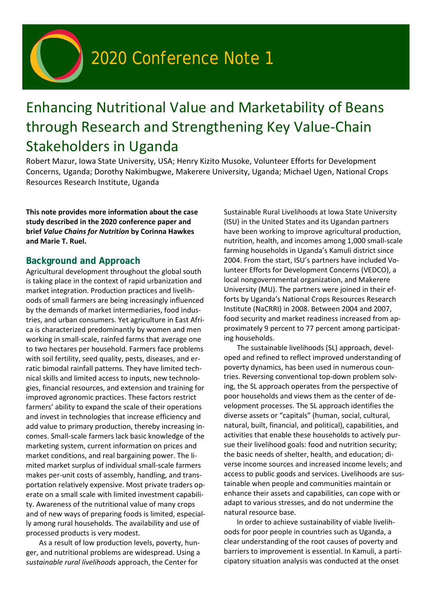# 2020 Conference Note 1

## Enhancing Nutritional Value and Marketability of Beans through Research and Strengthening Key Value-Chain Stakeholders in Uganda

Robert Mazur, Iowa State University, USA; Henry Kizito Musoke, Volunteer Efforts for Development Concerns, Uganda; Dorothy Nakimbugwe, Makerere University, Uganda; Michael Ugen, National Crops Resources Research Institute, Uganda

**This note provides more information about the case study described in the 2020 conference paper and brief** *Value Chains for Nutrition* **by Corinna Hawkes and Marie T. Ruel.**

### **Background and Approach**

Agricultural development throughout the global south is taking place in the context of rapid urbanization and market integration. Production practices and livelihoods of small farmers are being increasingly influenced by the demands of market intermediaries, food industries, and urban consumers. Yet agriculture in East Africa is characterized predominantly by women and men working in small-scale, rainfed farms that average one to two hectares per household. Farmers face problems with soil fertility, seed quality, pests, diseases, and erratic bimodal rainfall patterns. They have limited technical skills and limited access to inputs, new technologies, financial resources, and extension and training for improved agronomic practices. These factors restrict farmers' ability to expand the scale of their operations and invest in technologies that increase efficiency and add value to primary production, thereby increasing incomes. Small-scale farmers lack basic knowledge of the marketing system, current information on prices and market conditions, and real bargaining power. The limited market surplus of individual small-scale farmers makes per-unit costs of assembly, handling, and transportation relatively expensive. Most private traders operate on a small scale with limited investment capability. Awareness of the nutritional value of many crops and of new ways of preparing foods is limited, especially among rural households. The availability and use of processed products is very modest.

As a result of low production levels, poverty, hunger, and nutritional problems are widespread. Using a *sustainable rural livelihoods* approach, the Center for

Sustainable Rural Livelihoods at Iowa State University (ISU) in the United States and its Ugandan partners have been working to improve agricultural production, nutrition, health, and incomes among 1,000 small-scale farming households in Uganda's Kamuli district since 2004. From the start, ISU's partners have included Volunteer Efforts for Development Concerns (VEDCO), a local nongovernmental organization, and Makerere University (MU). The partners were joined in their efforts by Uganda's National Crops Resources Research Institute (NaCRRI) in 2008. Between 2004 and 2007, food security and market readiness increased from approximately 9 percent to 77 percent among participating households.

The sustainable livelihoods (SL) approach, developed and refined to reflect improved understanding of poverty dynamics, has been used in numerous countries. Reversing conventional top-down problem solving, the SL approach operates from the perspective of poor households and views them as the center of development processes. The SL approach identifies the diverse assets or "capitals" (human, social, cultural, natural, built, financial, and political), capabilities, and activities that enable these households to actively pursue their livelihood goals: food and nutrition security; the basic needs of shelter, health, and education; diverse income sources and increased income levels; and access to public goods and services. Livelihoods are sustainable when people and communities maintain or enhance their assets and capabilities, can cope with or adapt to various stresses, and do not undermine the natural resource base.

In order to achieve sustainability of viable livelihoods for poor people in countries such as Uganda, a clear understanding of the root causes of poverty and barriers to improvement is essential. In Kamuli, a participatory situation analysis was conducted at the onset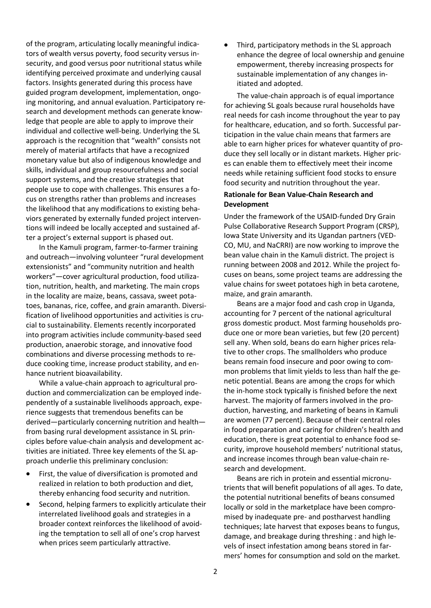of the program, articulating locally meaningful indicators of wealth versus poverty, food security versus insecurity, and good versus poor nutritional status while identifying perceived proximate and underlying causal factors. Insights generated during this process have guided program development, implementation, ongoing monitoring, and annual evaluation. Participatory research and development methods can generate knowledge that people are able to apply to improve their individual and collective well-being. Underlying the SL approach is the recognition that "wealth" consists not merely of material artifacts that have a recognized monetary value but also of indigenous knowledge and skills, individual and group resourcefulness and social support systems, and the creative strategies that people use to cope with challenges. This ensures a focus on strengths rather than problems and increases the likelihood that any modifications to existing behaviors generated by externally funded project interventions will indeed be locally accepted and sustained after a project's external support is phased out.

In the Kamuli program, farmer-to-farmer training and outreach—involving volunteer "rural development extensionists" and "community nutrition and health workers"—cover agricultural production, food utilization, nutrition, health, and marketing. The main crops in the locality are maize, beans, cassava, sweet potatoes, bananas, rice, coffee, and grain amaranth. Diversification of livelihood opportunities and activities is crucial to sustainability. Elements recently incorporated into program activities include community-based seed production, anaerobic storage, and innovative food combinations and diverse processing methods to reduce cooking time, increase product stability, and enhance nutrient bioavailability.

While a value-chain approach to agricultural production and commercialization can be employed independently of a sustainable livelihoods approach, experience suggests that tremendous benefits can be derived—particularly concerning nutrition and health from basing rural development assistance in SL principles before value-chain analysis and development activities are initiated. Three key elements of the SL approach underlie this preliminary conclusion:

- First, the value of diversification is promoted and realized in relation to both production and diet, thereby enhancing food security and nutrition.
- Second, helping farmers to explicitly articulate their interrelated livelihood goals and strategies in a broader context reinforces the likelihood of avoiding the temptation to sell all of one's crop harvest when prices seem particularly attractive.

• Third, participatory methods in the SL approach enhance the degree of local ownership and genuine empowerment, thereby increasing prospects for sustainable implementation of any changes initiated and adopted.

The value-chain approach is of equal importance for achieving SL goals because rural households have real needs for cash income throughout the year to pay for healthcare, education, and so forth. Successful participation in the value chain means that farmers are able to earn higher prices for whatever quantity of produce they sell locally or in distant markets. Higher prices can enable them to effectively meet their income needs while retaining sufficient food stocks to ensure food security and nutrition throughout the year.

#### **Rationale for Bean Value-Chain Research and Development**

Under the framework of the USAID-funded Dry Grain Pulse Collaborative Research Support Program (CRSP), Iowa State University and its Ugandan partners (VED-CO, MU, and NaCRRI) are now working to improve the bean value chain in the Kamuli district. The project is running between 2008 and 2012. While the project focuses on beans, some project teams are addressing the value chains for sweet potatoes high in beta carotene, maize, and grain amaranth.

Beans are a major food and cash crop in Uganda, accounting for 7 percent of the national agricultural gross domestic product. Most farming households produce one or more bean varieties, but few (20 percent) sell any. When sold, beans do earn higher prices relative to other crops. The smallholders who produce beans remain food insecure and poor owing to common problems that limit yields to less than half the genetic potential. Beans are among the crops for which the in-home stock typically is finished before the next harvest. The majority of farmers involved in the production, harvesting, and marketing of beans in Kamuli are women (77 percent). Because of their central roles in food preparation and caring for children's health and education, there is great potential to enhance food security, improve household members' nutritional status, and increase incomes through bean value-chain research and development.

Beans are rich in protein and essential micronutrients that will benefit populations of all ages. To date, the potential nutritional benefits of beans consumed locally or sold in the marketplace have been compromised by inadequate pre- and postharvest handling techniques; late harvest that exposes beans to fungus, damage, and breakage during threshing : and high levels of insect infestation among beans stored in farmers' homes for consumption and sold on the market.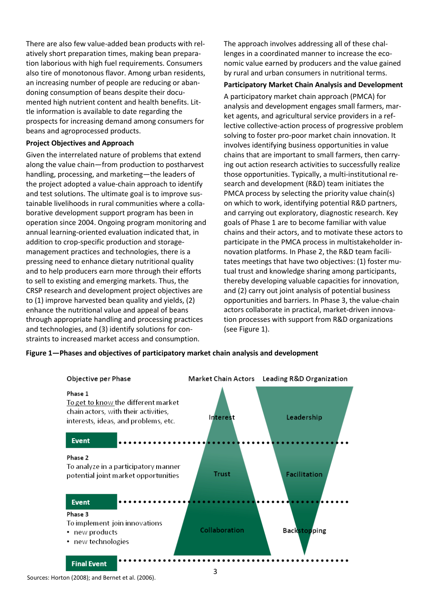There are also few value-added bean products with relatively short preparation times, making bean preparation laborious with high fuel requirements. Consumers also tire of monotonous flavor. Among urban residents, an increasing number of people are reducing or abandoning consumption of beans despite their documented high nutrient content and health benefits. Little information is available to date regarding the prospects for increasing demand among consumers for beans and agroprocessed products.

#### **Project Objectives and Approach**

Given the interrelated nature of problems that extend along the value chain—from production to postharvest handling, processing, and marketing—the leaders of the project adopted a value-chain approach to identify and test solutions. The ultimate goal is to improve sustainable livelihoods in rural communities where a collaborative development support program has been in operation since 2004. Ongoing program monitoring and annual learning-oriented evaluation indicated that, in addition to crop-specific production and storagemanagement practices and technologies, there is a pressing need to enhance dietary nutritional quality and to help producers earn more through their efforts to sell to existing and emerging markets. Thus, the CRSP research and development project objectives are to (1) improve harvested bean quality and yields, (2) enhance the nutritional value and appeal of beans through appropriate handling and processing practices and technologies, and (3) identify solutions for constraints to increased market access and consumption.

The approach involves addressing all of these challenges in a coordinated manner to increase the economic value earned by producers and the value gained by rural and urban consumers in nutritional terms.

#### **Participatory Market Chain Analysis and Development**

A participatory market chain approach (PMCA) for analysis and development engages small farmers, market agents, and agricultural service providers in a reflective collective-action process of progressive problem solving to foster pro-poor market chain innovation. It involves identifying business opportunities in value chains that are important to small farmers, then carrying out action research activities to successfully realize those opportunities. Typically, a multi-institutional research and development (R&D) team initiates the PMCA process by selecting the priority value chain(s) on which to work, identifying potential R&D partners, and carrying out exploratory, diagnostic research. Key goals of Phase 1 are to become familiar with value chains and their actors, and to motivate these actors to participate in the PMCA process in multistakeholder innovation platforms. In Phase 2, the R&D team facilitates meetings that have two objectives: (1) foster mutual trust and knowledge sharing among participants, thereby developing valuable capacities for innovation, and (2) carry out joint analysis of potential business opportunities and barriers. In Phase 3, the value-chain actors collaborate in practical, market-driven innovation processes with support from R&D organizations (see Figure 1).



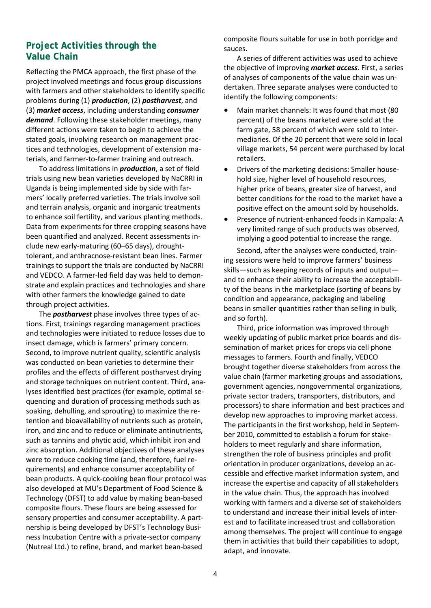## **Project Activities through the Value Chain**

Reflecting the PMCA approach, the first phase of the project involved meetings and focus group discussions with farmers and other stakeholders to identify specific problems during (1) *production*, (2) *postharvest*, and (3) *market access*, including understanding *consumer demand*. Following these stakeholder meetings, many different actions were taken to begin to achieve the stated goals, involving research on management practices and technologies, development of extension materials, and farmer-to-farmer training and outreach.

To address limitations in *production*, a set of field trials using new bean varieties developed by NaCRRI in Uganda is being implemented side by side with farmers' locally preferred varieties. The trials involve soil and terrain analysis, organic and inorganic treatments to enhance soil fertility, and various planting methods. Data from experiments for three cropping seasons have been quantified and analyzed. Recent assessments include new early-maturing (60–65 days), droughttolerant, and anthracnose-resistant bean lines. Farmer trainings to support the trials are conducted by NaCRRI and VEDCO. A farmer-led field day was held to demonstrate and explain practices and technologies and share with other farmers the knowledge gained to date through project activities.

The *postharvest* phase involves three types of actions. First, trainings regarding management practices and technologies were initiated to reduce losses due to insect damage, which is farmers' primary concern. Second, to improve nutrient quality, scientific analysis was conducted on bean varieties to determine their profiles and the effects of different postharvest drying and storage techniques on nutrient content. Third, analyses identified best practices (for example, optimal sequencing and duration of processing methods such as soaking, dehulling, and sprouting) to maximize the retention and bioavailability of nutrients such as protein, iron, and zinc and to reduce or eliminate antinutrients, such as tannins and phytic acid, which inhibit iron and zinc absorption. Additional objectives of these analyses were to reduce cooking time (and, therefore, fuel requirements) and enhance consumer acceptability of bean products. A quick-cooking bean flour protocol was also developed at MU's Department of Food Science & Technology (DFST) to add value by making bean-based composite flours. These flours are being assessed for sensory properties and consumer acceptability. A partnership is being developed by DFST's Technology Business Incubation Centre with a private-sector company (Nutreal Ltd.) to refine, brand, and market bean-based

composite flours suitable for use in both porridge and sauces.

A series of different activities was used to achieve the objective of improving *market access*. First, a series of analyses of components of the value chain was undertaken. Three separate analyses were conducted to identify the following components:

- Main market channels: It was found that most (80 percent) of the beans marketed were sold at the farm gate, 58 percent of which were sold to intermediaries. Of the 20 percent that were sold in local village markets, 54 percent were purchased by local retailers.
- Drivers of the marketing decisions: Smaller household size, higher level of household resources, higher price of beans, greater size of harvest, and better conditions for the road to the market have a positive effect on the amount sold by households.
- Presence of nutrient-enhanced foods in Kampala: A very limited range of such products was observed, implying a good potential to increase the range.

Second, after the analyses were conducted, training sessions were held to improve farmers' business skills—such as keeping records of inputs and output and to enhance their ability to increase the acceptability of the beans in the marketplace (sorting of beans by condition and appearance, packaging and labeling beans in smaller quantities rather than selling in bulk, and so forth).

Third, price information was improved through weekly updating of public market price boards and dissemination of market prices for crops via cell phone messages to farmers. Fourth and finally, VEDCO brought together diverse stakeholders from across the value chain (farmer marketing groups and associations, government agencies, nongovernmental organizations, private sector traders, transporters, distributors, and processors) to share information and best practices and develop new approaches to improving market access. The participants in the first workshop, held in September 2010, committed to establish a forum for stakeholders to meet regularly and share information, strengthen the role of business principles and profit orientation in producer organizations, develop an accessible and effective market information system, and increase the expertise and capacity of all stakeholders in the value chain. Thus, the approach has involved working with farmers and a diverse set of stakeholders to understand and increase their initial levels of interest and to facilitate increased trust and collaboration among themselves. The project will continue to engage them in activities that build their capabilities to adopt, adapt, and innovate.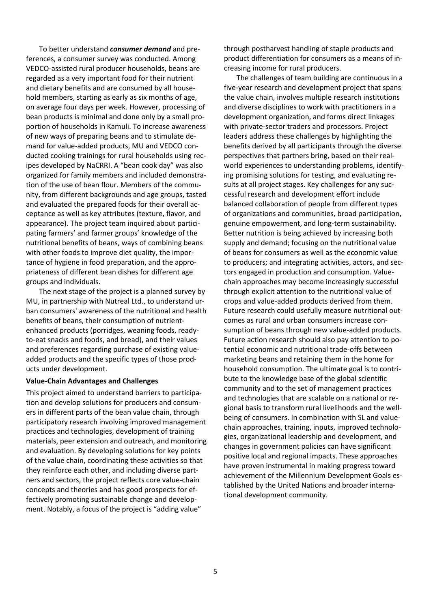To better understand *consumer demand* and preferences, a consumer survey was conducted. Among VEDCO-assisted rural producer households, beans are regarded as a very important food for their nutrient and dietary benefits and are consumed by all household members, starting as early as six months of age, on average four days per week. However, processing of bean products is minimal and done only by a small proportion of households in Kamuli. To increase awareness of new ways of preparing beans and to stimulate demand for value-added products, MU and VEDCO conducted cooking trainings for rural households using recipes developed by NaCRRI. A "bean cook day" was also organized for family members and included demonstration of the use of bean flour. Members of the community, from different backgrounds and age groups, tasted and evaluated the prepared foods for their overall acceptance as well as key attributes (texture, flavor, and appearance). The project team inquired about participating farmers' and farmer groups' knowledge of the nutritional benefits of beans, ways of combining beans with other foods to improve diet quality, the importance of hygiene in food preparation, and the appropriateness of different bean dishes for different age groups and individuals.

The next stage of the project is a planned survey by MU, in partnership with Nutreal Ltd., to understand urban consumers' awareness of the nutritional and health benefits of beans, their consumption of nutrientenhanced products (porridges, weaning foods, readyto-eat snacks and foods, and bread), and their values and preferences regarding purchase of existing valueadded products and the specific types of those products under development.

#### **Value-Chain Advantages and Challenges**

This project aimed to understand barriers to participation and develop solutions for producers and consumers in different parts of the bean value chain, through participatory research involving improved management practices and technologies, development of training materials, peer extension and outreach, and monitoring and evaluation. By developing solutions for key points of the value chain, coordinating these activities so that they reinforce each other, and including diverse partners and sectors, the project reflects core value-chain concepts and theories and has good prospects for effectively promoting sustainable change and development. Notably, a focus of the project is "adding value"

through postharvest handling of staple products and product differentiation for consumers as a means of increasing income for rural producers.

 The challenges of team building are continuous in a five-year research and development project that spans the value chain, involves multiple research institutions and diverse disciplines to work with practitioners in a development organization, and forms direct linkages with private-sector traders and processors. Project leaders address these challenges by highlighting the benefits derived by all participants through the diverse perspectives that partners bring, based on their realworld experiences to understanding problems, identifying promising solutions for testing, and evaluating results at all project stages. Key challenges for any successful research and development effort include balanced collaboration of people from different types of organizations and communities, broad participation, genuine empowerment, and long-term sustainability. Better nutrition is being achieved by increasing both supply and demand; focusing on the nutritional value of beans for consumers as well as the economic value to producers; and integrating activities, actors, and sectors engaged in production and consumption. Valuechain approaches may become increasingly successful through explicit attention to the nutritional value of crops and value-added products derived from them. Future research could usefully measure nutritional outcomes as rural and urban consumers increase consumption of beans through new value-added products. Future action research should also pay attention to potential economic and nutritional trade-offs between marketing beans and retaining them in the home for household consumption. The ultimate goal is to contribute to the knowledge base of the global scientific community and to the set of management practices and technologies that are scalable on a national or regional basis to transform rural livelihoods and the wellbeing of consumers. In combination with SL and valuechain approaches, training, inputs, improved technologies, organizational leadership and development, and changes in government policies can have significant positive local and regional impacts. These approaches have proven instrumental in making progress toward achievement of the Millennium Development Goals established by the United Nations and broader international development community.